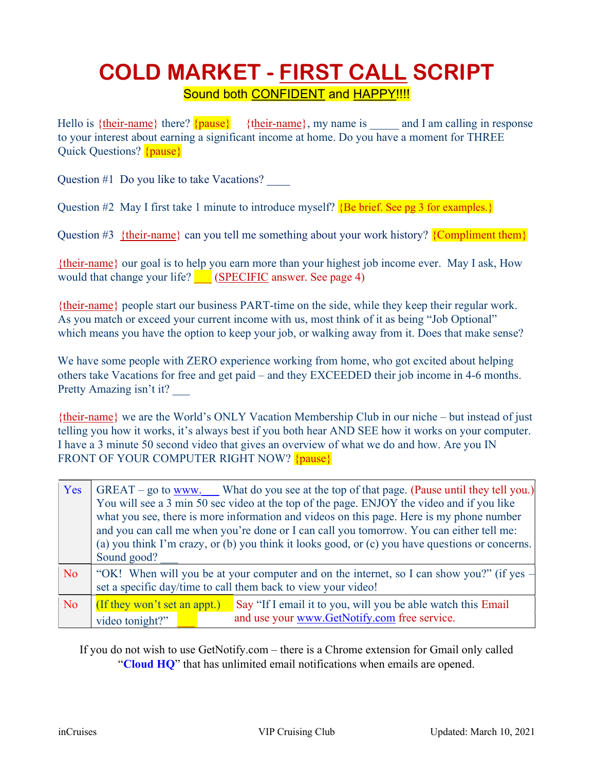### COLD MARKET - FIRST CALL SCRIPT Sound both CONFIDENT and HAPPY!!!!

Hello is {their-name} there? {pause} {their-name}, my name is \_\_\_\_\_ and I am calling in response to your interest about earning a significant income at home. Do you have a moment for THREE Quick Questions? {pause}

Question #1 Do you like to take Vacations? \_\_\_\_

Question #2 May I first take 1 minute to introduce myself?  ${Be}$  brief. See pg 3 for examples.}

Question #3 {their-name} can you tell me something about your work history?  ${Complement them}$ }

{their-name} our goal is to help you earn more than your highest job income ever. May I ask, How would that change your life? **\_\_\_ (SPECIFIC** answer. See page 4)

{their-name} people start our business PART-time on the side, while they keep their regular work. As you match or exceed your current income with us, most think of it as being "Job Optional" which means you have the option to keep your job, or walking away from it. Does that make sense?

We have some people with ZERO experience working from home, who got excited about helping others take Vacations for free and get paid – and they EXCEEDED their job income in 4-6 months. Pretty Amazing isn't it?

{their-name} we are the World's ONLY Vacation Membership Club in our niche – but instead of just telling you how it works, it's always best if you both hear AND SEE how it works on your computer. I have a 3 minute 50 second video that gives an overview of what we do and how. Are you IN FRONT OF YOUR COMPUTER RIGHT NOW? {pause}

| Yes       | GREAT – go to www. What do you see at the top of that page. (Pause until they tell you.)<br>You will see a 3 min 50 sec video at the top of the page. ENJOY the video and if you like<br>what you see, there is more information and videos on this page. Here is my phone number<br>and you can call me when you're done or I can call you tomorrow. You can either tell me:<br>(a) you think I'm crazy, or (b) you think it looks good, or (c) you have questions or concerns.<br>Sound good? |                                                                                                              |
|-----------|-------------------------------------------------------------------------------------------------------------------------------------------------------------------------------------------------------------------------------------------------------------------------------------------------------------------------------------------------------------------------------------------------------------------------------------------------------------------------------------------------|--------------------------------------------------------------------------------------------------------------|
| <b>No</b> | "OK! When will you be at your computer and on the internet, so I can show you?" (if yes $-$<br>set a specific day/time to call them back to view your video!                                                                                                                                                                                                                                                                                                                                    |                                                                                                              |
| <b>No</b> | (If they won't set an appt.)<br>video tonight?"                                                                                                                                                                                                                                                                                                                                                                                                                                                 | Say "If I email it to you, will you be able watch this Email<br>and use your www.GetNotify.com free service. |

If you do not wish to use GetNotify.com – there is a Chrome extension for Gmail only called "Cloud HQ" that has unlimited email notifications when emails are opened.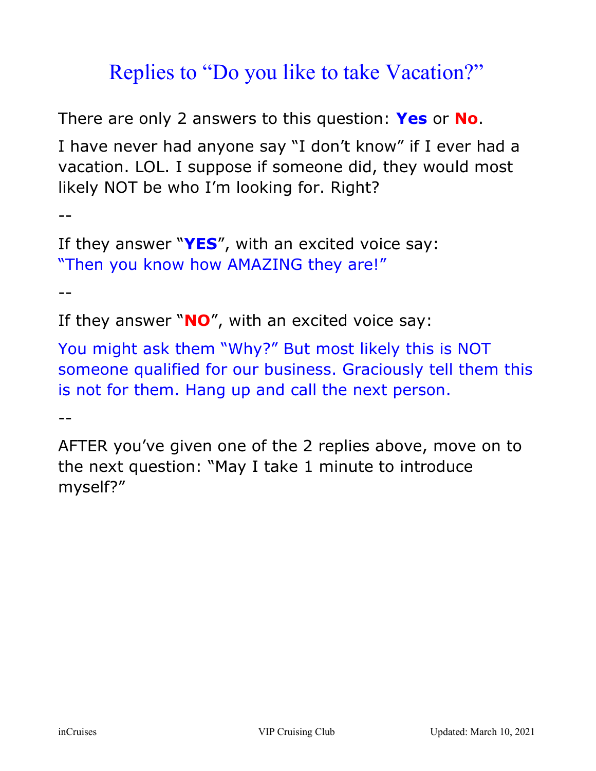## Replies to "Do you like to take Vacation?"

There are only 2 answers to this question: Yes or No.

I have never had anyone say "I don't know" if I ever had a vacation. LOL. I suppose if someone did, they would most likely NOT be who I'm looking for. Right?

 $-$ 

```
If they answer "YES'', with an excited voice say:
"Then you know how AMAZING they are!"
```
 $-$ 

If they answer " $NO''$ , with an excited voice say:

You might ask them "Why?" But most likely this is NOT someone qualified for our business. Graciously tell them this is not for them. Hang up and call the next person.

--

AFTER you've given one of the 2 replies above, move on to the next question: "May I take 1 minute to introduce myself?"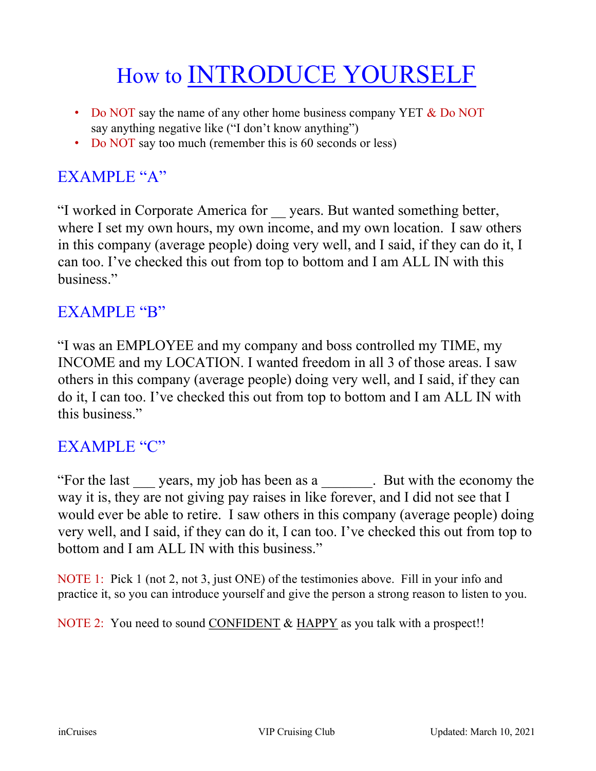# How to **INTRODUCE YOURSELF**

- Do NOT say the name of any other home business company YET & Do NOT say anything negative like ("I don't know anything")
- Do NOT say too much (remember this is 60 seconds or less)

#### EXAMPLE "A"

"I worked in Corporate America for \_\_ years. But wanted something better, where I set my own hours, my own income, and my own location. I saw others in this company (average people) doing very well, and I said, if they can do it, I can too. I've checked this out from top to bottom and I am ALL IN with this business."

#### EXAMPLE "B"

"I was an EMPLOYEE and my company and boss controlled my TIME, my INCOME and my LOCATION. I wanted freedom in all 3 of those areas. I saw others in this company (average people) doing very well, and I said, if they can do it, I can too. I've checked this out from top to bottom and I am ALL IN with this business."

#### EXAMPLE "C"

"For the last years, my job has been as a . But with the economy the way it is, they are not giving pay raises in like forever, and I did not see that I would ever be able to retire. I saw others in this company (average people) doing very well, and I said, if they can do it, I can too. I've checked this out from top to bottom and I am ALL IN with this business."

NOTE 1: Pick 1 (not 2, not 3, just ONE) of the testimonies above. Fill in your info and practice it, so you can introduce yourself and give the person a strong reason to listen to you.

NOTE 2: You need to sound CONFIDENT & HAPPY as you talk with a prospect!!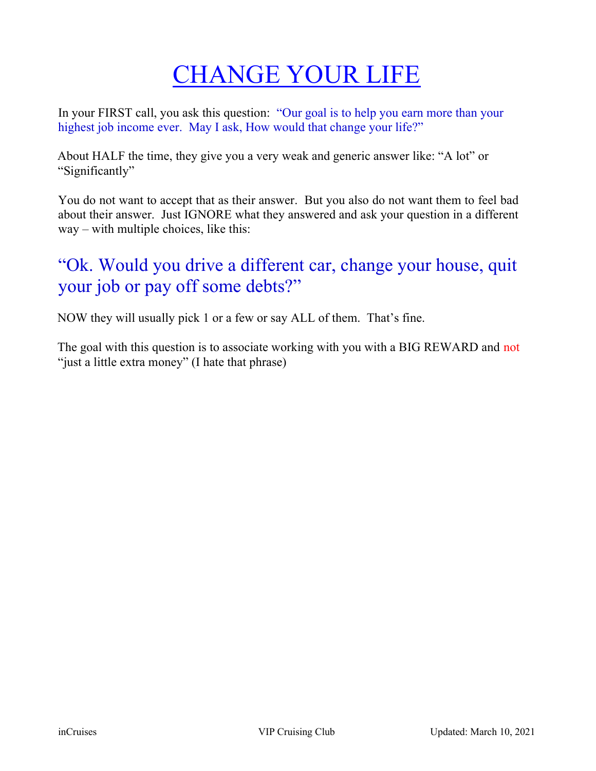# CHANGE YOUR LIFE

In your FIRST call, you ask this question: "Our goal is to help you earn more than your highest job income ever. May I ask, How would that change your life?"

About HALF the time, they give you a very weak and generic answer like: "A lot" or "Significantly"

You do not want to accept that as their answer. But you also do not want them to feel bad about their answer. Just IGNORE what they answered and ask your question in a different way – with multiple choices, like this:

### "Ok. Would you drive a different car, change your house, quit your job or pay off some debts?"

NOW they will usually pick 1 or a few or say ALL of them. That's fine.

The goal with this question is to associate working with you with a BIG REWARD and not "just a little extra money" (I hate that phrase)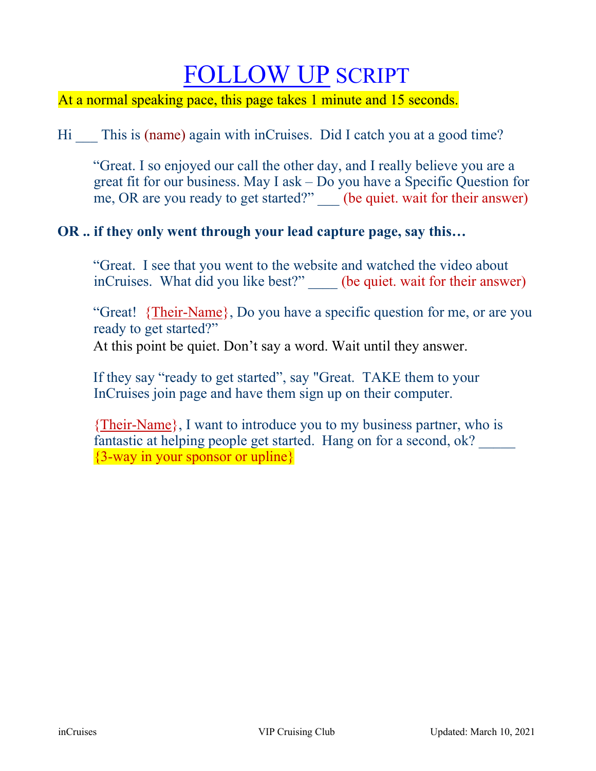## FOLLOW UP SCRIPT

At a normal speaking pace, this page takes 1 minute and 15 seconds.

Hi This is (name) again with inCruises. Did I catch you at a good time?

"Great. I so enjoyed our call the other day, and I really believe you are a great fit for our business. May I ask – Do you have a Specific Question for me, OR are you ready to get started?" (be quiet. wait for their answer)

#### OR .. if they only went through your lead capture page, say this…

"Great. I see that you went to the website and watched the video about inCruises. What did you like best?" (be quiet. wait for their answer)

"Great! {Their-Name}, Do you have a specific question for me, or are you ready to get started?"

At this point be quiet. Don't say a word. Wait until they answer.

If they say "ready to get started", say "Great. TAKE them to your InCruises join page and have them sign up on their computer.

{Their-Name}, I want to introduce you to my business partner, who is fantastic at helping people get started. Hang on for a second, ok? {3-way in your sponsor or upline}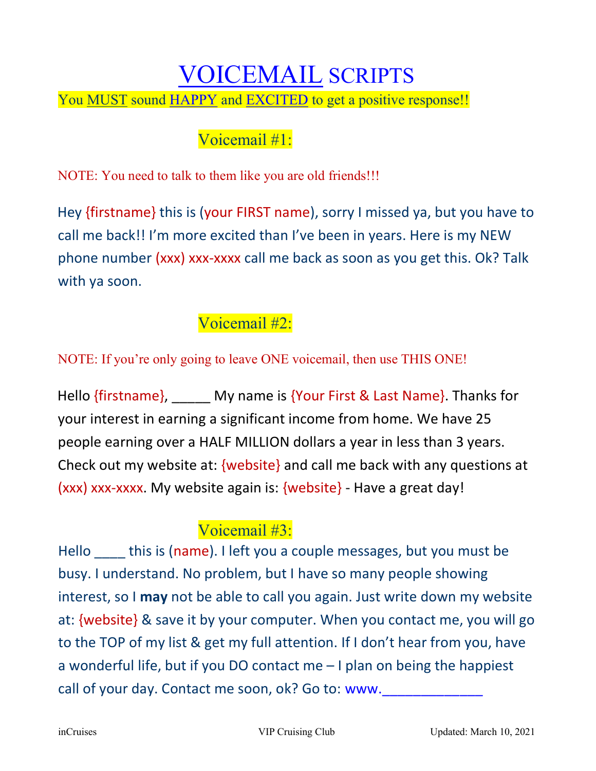### VOICEMAIL SCRIPTS

You MUST sound HAPPY and EXCITED to get a positive response!!

### Voicemail #1:

NOTE: You need to talk to them like you are old friends!!!

Hey {firstname} this is (your FIRST name), sorry I missed ya, but you have to call me back!! I'm more excited than I've been in years. Here is my NEW phone number (xxx) xxx-xxxx call me back as soon as you get this. Ok? Talk with ya soon.

### Voicemail #2:

NOTE: If you're only going to leave ONE voicemail, then use THIS ONE!

Hello {firstname}, My name is {Your First & Last Name}. Thanks for your interest in earning a significant income from home. We have 25 people earning over a HALF MILLION dollars a year in less than 3 years. Check out my website at: {website} and call me back with any questions at (xxx) xxx-xxxx. My website again is: {website} - Have a great day!

### Voicemail #3:

Hello this is (name). I left you a couple messages, but you must be busy. I understand. No problem, but I have so many people showing interest, so I may not be able to call you again. Just write down my website at: {website} & save it by your computer. When you contact me, you will go to the TOP of my list & get my full attention. If I don't hear from you, have a wonderful life, but if you DO contact me – I plan on being the happiest call of your day. Contact me soon, ok? Go to: www.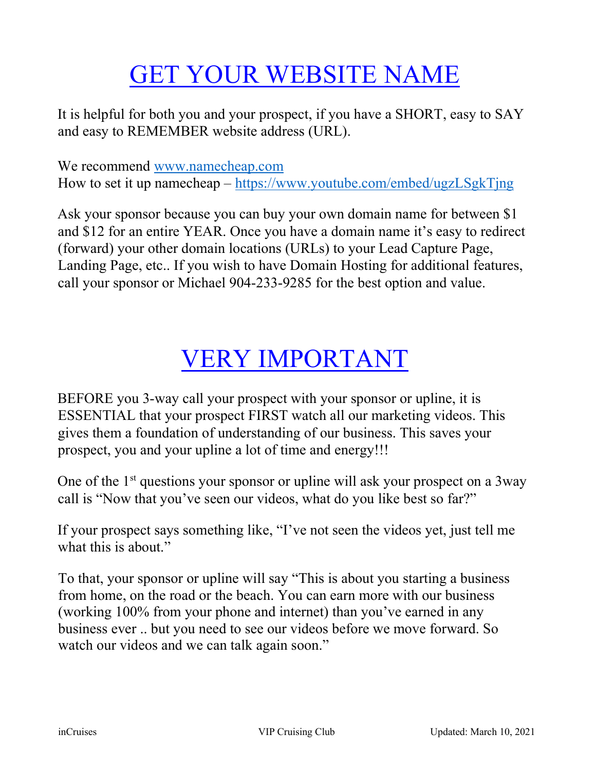# GET YOUR WEBSITE NAME

It is helpful for both you and your prospect, if you have a SHORT, easy to SAY and easy to REMEMBER website address (URL).

We recommend www.namecheap.com How to set it up namecheap – https://www.youtube.com/embed/ugzLSgkTjng

Ask your sponsor because you can buy your own domain name for between \$1 and \$12 for an entire YEAR. Once you have a domain name it's easy to redirect (forward) your other domain locations (URLs) to your Lead Capture Page, Landing Page, etc.. If you wish to have Domain Hosting for additional features, call your sponsor or Michael 904-233-9285 for the best option and value.

## VERY IMPORTANT

BEFORE you 3-way call your prospect with your sponsor or upline, it is ESSENTIAL that your prospect FIRST watch all our marketing videos. This gives them a foundation of understanding of our business. This saves your prospect, you and your upline a lot of time and energy!!!

One of the  $1<sup>st</sup>$  questions your sponsor or upline will ask your prospect on a 3way call is "Now that you've seen our videos, what do you like best so far?"

If your prospect says something like, "I've not seen the videos yet, just tell me what this is about."

To that, your sponsor or upline will say "This is about you starting a business from home, on the road or the beach. You can earn more with our business (working 100% from your phone and internet) than you've earned in any business ever .. but you need to see our videos before we move forward. So watch our videos and we can talk again soon."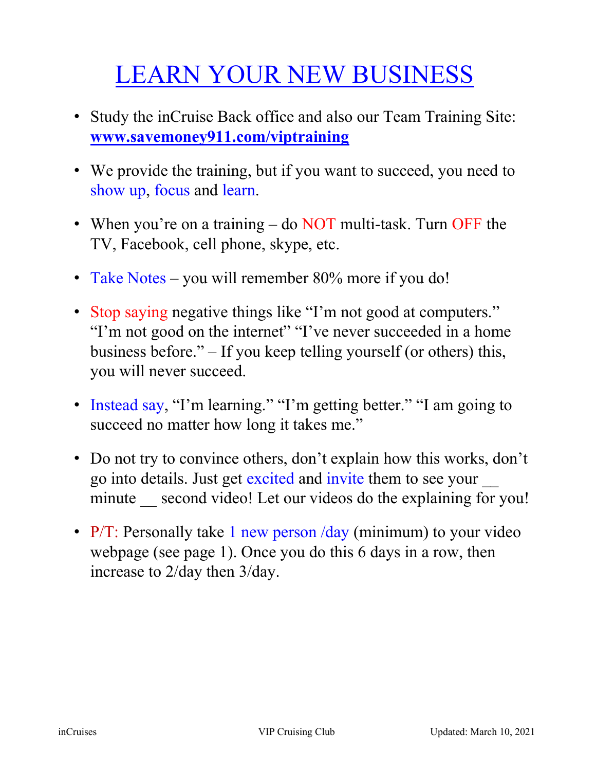# LEARN YOUR NEW BUSINESS

- Study the inCruise Back office and also our Team Training Site: www.savemoney911.com/viptraining
- We provide the training, but if you want to succeed, you need to show up, focus and learn.
- When you're on a training do NOT multi-task. Turn OFF the TV, Facebook, cell phone, skype, etc.
- Take Notes you will remember 80% more if you do!
- Stop saying negative things like "I'm not good at computers." "I'm not good on the internet" "I've never succeeded in a home business before." – If you keep telling yourself (or others) this, you will never succeed.
- Instead say, "I'm learning." "I'm getting better." "I am going to succeed no matter how long it takes me."
- Do not try to convince others, don't explain how this works, don't go into details. Just get excited and invite them to see your \_\_ minute second video! Let our videos do the explaining for you!
- P/T: Personally take 1 new person /day (minimum) to your video webpage (see page 1). Once you do this 6 days in a row, then increase to 2/day then 3/day.